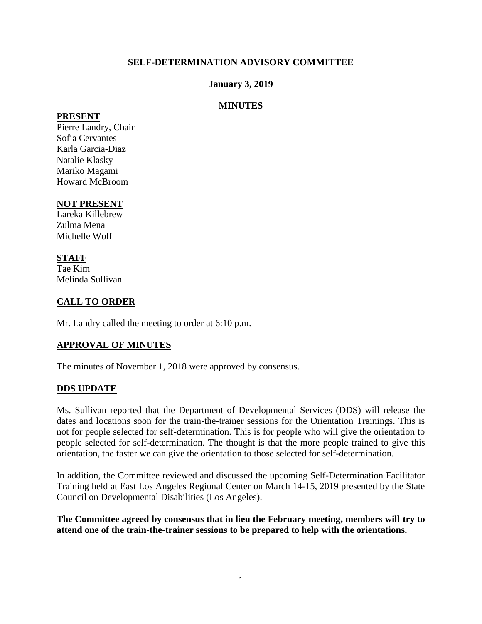#### **SELF-DETERMINATION ADVISORY COMMITTEE**

#### **January 3, 2019**

#### **MINUTES**

#### **PRESENT**

Pierre Landry, Chair Sofia Cervantes Karla Garcia-Diaz Natalie Klasky Mariko Magami Howard McBroom

#### **NOT PRESENT**

Lareka Killebrew Zulma Mena Michelle Wolf

#### **STAFF**  Tae Kim

Melinda Sullivan

# **CALL TO ORDER**

Mr. Landry called the meeting to order at 6:10 p.m.

# **APPROVAL OF MINUTES**

The minutes of November 1, 2018 were approved by consensus.

#### **DDS UPDATE**

Ms. Sullivan reported that the Department of Developmental Services (DDS) will release the dates and locations soon for the train-the-trainer sessions for the Orientation Trainings. This is not for people selected for self-determination. This is for people who will give the orientation to people selected for self-determination. The thought is that the more people trained to give this orientation, the faster we can give the orientation to those selected for self-determination.

In addition, the Committee reviewed and discussed the upcoming Self-Determination Facilitator Training held at East Los Angeles Regional Center on March 14-15, 2019 presented by the State Council on Developmental Disabilities (Los Angeles).

**The Committee agreed by consensus that in lieu the February meeting, members will try to attend one of the train-the-trainer sessions to be prepared to help with the orientations.**